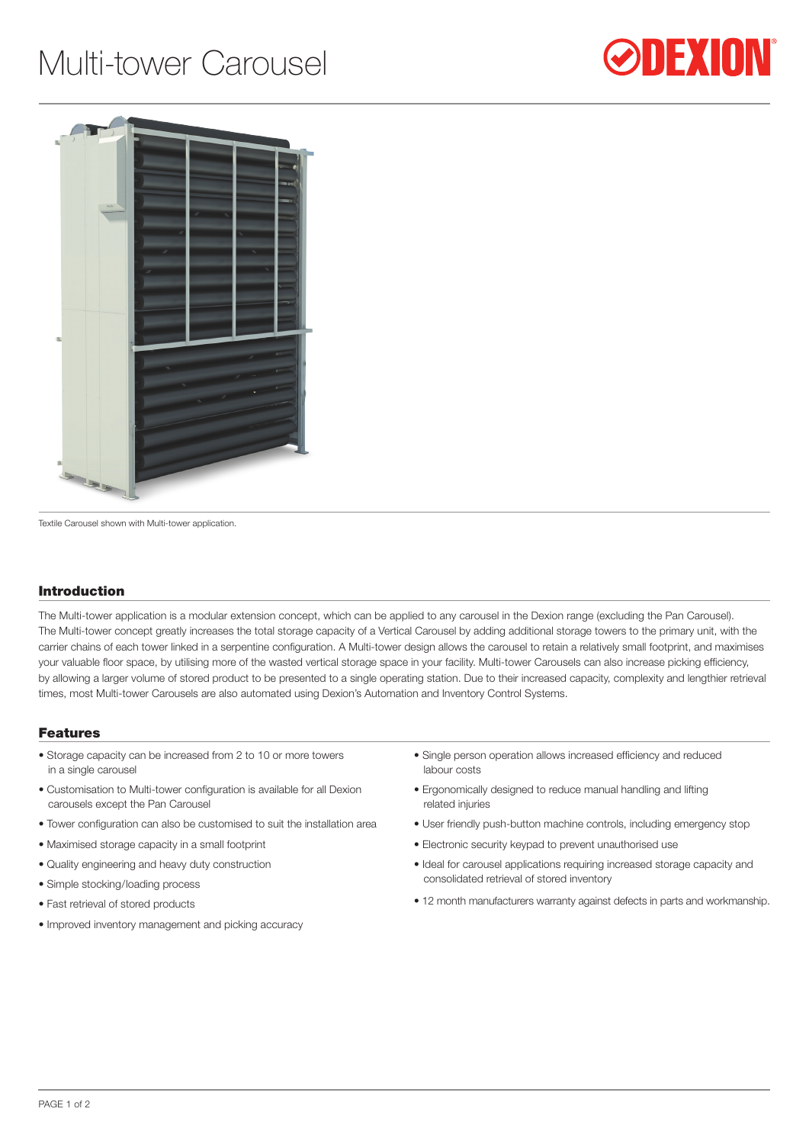## Multi-tower Carousel





Textile Carousel shown with Multi-tower application.

## Introduction

The Multi-tower application is a modular extension concept, which can be applied to any carousel in the Dexion range (excluding the Pan Carousel). The Multi-tower concept greatly increases the total storage capacity of a Vertical Carousel by adding additional storage towers to the primary unit, with the carrier chains of each tower linked in a serpentine configuration. A Multi-tower design allows the carousel to retain a relatively small footprint, and maximises your valuable floor space, by utilising more of the wasted vertical storage space in your facility. Multi-tower Carousels can also increase picking efficiency, by allowing a larger volume of stored product to be presented to a single operating station. Due to their increased capacity, complexity and lengthier retrieval times, most Multi-tower Carousels are also automated using Dexion's Automation and Inventory Control Systems.

## Features

- Storage capacity can be increased from 2 to 10 or more towers in a single carousel
- Customisation to Multi-tower configuration is available for all Dexion carousels except the Pan Carousel
- Tower configuration can also be customised to suit the installation area
- Maximised storage capacity in a small footprint
- Quality engineering and heavy duty construction
- Simple stocking/loading process
- Fast retrieval of stored products
- Improved inventory management and picking accuracy
- Single person operation allows increased efficiency and reduced labour costs
- Ergonomically designed to reduce manual handling and lifting related injuries
- User friendly push-button machine controls, including emergency stop
- Electronic security keypad to prevent unauthorised use
- Ideal for carousel applications requiring increased storage capacity and consolidated retrieval of stored inventory
- 12 month manufacturers warranty against defects in parts and workmanship.